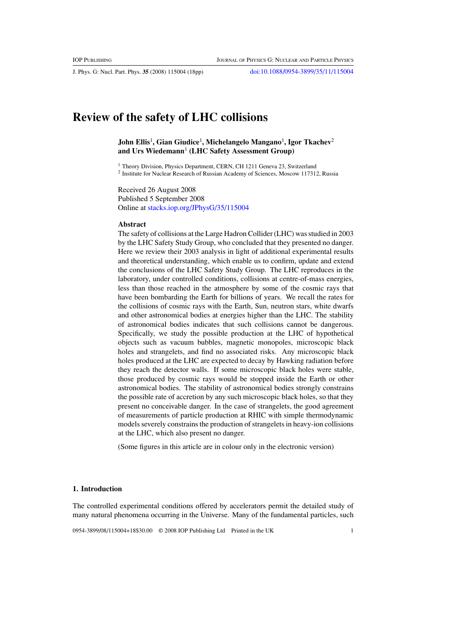J. Phys. G: Nucl. Part. Phys. **35** (2008) 115004 (18pp) [doi:10.1088/0954-3899/35/11/115004](http://dx.doi.org/10.1088/0954-3899/35/11/115004)

# **Review of the safety of LHC collisions**

**John Ellis**<sup>1</sup> **, Gian Giudice**<sup>1</sup> **, Michelangelo Mangano**<sup>1</sup> **, Igor Tkachev**<sup>2</sup> **and Urs Wiedemann**<sup>1</sup> **(LHC Safety Assessment Group)**

<sup>1</sup> Theory Division, Physics Department, CERN, CH 1211 Geneva 23, Switzerland <sup>2</sup> Institute for Nuclear Research of Russian Academy of Sciences, Moscow 117312, Russia

Received 26 August 2008 Published 5 September 2008 Online at [stacks.iop.org/JPhysG/35/115004](http://stacks.iop.org/JPhysG/35/115004)

#### **Abstract**

The safety of collisions at the Large Hadron Collider (LHC) was studied in 2003 by the LHC Safety Study Group, who concluded that they presented no danger. Here we review their 2003 analysis in light of additional experimental results and theoretical understanding, which enable us to confirm, update and extend the conclusions of the LHC Safety Study Group. The LHC reproduces in the laboratory, under controlled conditions, collisions at centre-of-mass energies, less than those reached in the atmosphere by some of the cosmic rays that have been bombarding the Earth for billions of years. We recall the rates for the collisions of cosmic rays with the Earth, Sun, neutron stars, white dwarfs and other astronomical bodies at energies higher than the LHC. The stability of astronomical bodies indicates that such collisions cannot be dangerous. Specifically, we study the possible production at the LHC of hypothetical objects such as vacuum bubbles, magnetic monopoles, microscopic black holes and strangelets, and find no associated risks. Any microscopic black holes produced at the LHC are expected to decay by Hawking radiation before they reach the detector walls. If some microscopic black holes were stable, those produced by cosmic rays would be stopped inside the Earth or other astronomical bodies. The stability of astronomical bodies strongly constrains the possible rate of accretion by any such microscopic black holes, so that they present no conceivable danger. In the case of strangelets, the good agreement of measurements of particle production at RHIC with simple thermodynamic models severely constrains the production of strangelets in heavy-ion collisions at the LHC, which also present no danger.

(Some figures in this article are in colour only in the electronic version)

### **1. Introduction**

The controlled experimental conditions offered by accelerators permit the detailed study of many natural phenomena occurring in the Universe. Many of the fundamental particles, such

0954-3899/08/115004+18\$30.00 © 2008 IOP Publishing Ltd Printed in the UK 1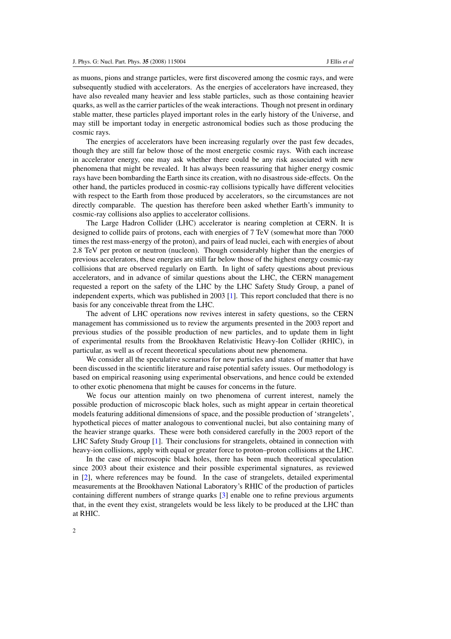as muons, pions and strange particles, were first discovered among the cosmic rays, and were subsequently studied with accelerators. As the energies of accelerators have increased, they have also revealed many heavier and less stable particles, such as those containing heavier quarks, as well as the carrier particles of the weak interactions. Though not present in ordinary stable matter, these particles played important roles in the early history of the Universe, and may still be important today in energetic astronomical bodies such as those producing the cosmic rays.

The energies of accelerators have been increasing regularly over the past few decades, though they are still far below those of the most energetic cosmic rays. With each increase in accelerator energy, one may ask whether there could be any risk associated with new phenomena that might be revealed. It has always been reassuring that higher energy cosmic rays have been bombarding the Earth since its creation, with no disastrous side-effects. On the other hand, the particles produced in cosmic-ray collisions typically have different velocities with respect to the Earth from those produced by accelerators, so the circumstances are not directly comparable. The question has therefore been asked whether Earth's immunity to cosmic-ray collisions also applies to accelerator collisions.

The Large Hadron Collider (LHC) accelerator is nearing completion at CERN. It is designed to collide pairs of protons, each with energies of 7 TeV (somewhat more than 7000 times the rest mass-energy of the proton), and pairs of lead nuclei, each with energies of about 2.8 TeV per proton or neutron (nucleon). Though considerably higher than the energies of previous accelerators, these energies are still far below those of the highest energy cosmic-ray collisions that are observed regularly on Earth. In light of safety questions about previous accelerators, and in advance of similar questions about the LHC, the CERN management requested a report on the safety of the LHC by the LHC Safety Study Group, a panel of independent experts, which was published in 2003 [\[1\]](#page-17-0). This report concluded that there is no basis for any conceivable threat from the LHC.

The advent of LHC operations now revives interest in safety questions, so the CERN management has commissioned us to review the arguments presented in the 2003 report and previous studies of the possible production of new particles, and to update them in light of experimental results from the Brookhaven Relativistic Heavy-Ion Collider (RHIC), in particular, as well as of recent theoretical speculations about new phenomena.

We consider all the speculative scenarios for new particles and states of matter that have been discussed in the scientific literature and raise potential safety issues. Our methodology is based on empirical reasoning using experimental observations, and hence could be extended to other exotic phenomena that might be causes for concerns in the future.

We focus our attention mainly on two phenomena of current interest, namely the possible production of microscopic black holes, such as might appear in certain theoretical models featuring additional dimensions of space, and the possible production of 'strangelets', hypothetical pieces of matter analogous to conventional nuclei, but also containing many of the heavier strange quarks. These were both considered carefully in the 2003 report of the LHC Safety Study Group [\[1](#page-17-0)]. Their conclusions for strangelets, obtained in connection with heavy-ion collisions, apply with equal or greater force to proton–proton collisions at the LHC.

In the case of microscopic black holes, there has been much theoretical speculation since 2003 about their existence and their possible experimental signatures, as reviewed in [\[2\]](#page-17-0), where references may be found. In the case of strangelets, detailed experimental measurements at the Brookhaven National Laboratory's RHIC of the production of particles containing different numbers of strange quarks [\[3\]](#page-17-0) enable one to refine previous arguments that, in the event they exist, strangelets would be less likely to be produced at the LHC than at RHIC.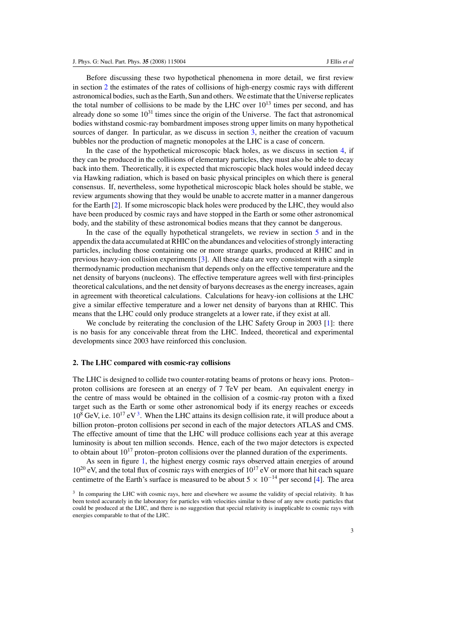Before discussing these two hypothetical phenomena in more detail, we first review in section 2 the estimates of the rates of collisions of high-energy cosmic rays with different astronomical bodies, such as the Earth, Sun and others. We estimate that the Universe replicates the total number of collisions to be made by the LHC over  $10^{13}$  times per second, and has already done so some  $10^{31}$  times since the origin of the Universe. The fact that astronomical bodies withstand cosmic-ray bombardment imposes strong upper limits on many hypothetical sources of danger. In particular, as we discuss in section [3,](#page-4-0) neither the creation of vacuum bubbles nor the production of magnetic monopoles at the LHC is a case of concern.

In the case of the hypothetical microscopic black holes, as we discuss in section [4,](#page-5-0) if they can be produced in the collisions of elementary particles, they must also be able to decay back into them. Theoretically, it is expected that microscopic black holes would indeed decay via Hawking radiation, which is based on basic physical principles on which there is general consensus. If, nevertheless, some hypothetical microscopic black holes should be stable, we review arguments showing that they would be unable to accrete matter in a manner dangerous for the Earth [\[2\]](#page-17-0). If some microscopic black holes were produced by the LHC, they would also have been produced by cosmic rays and have stopped in the Earth or some other astronomical body, and the stability of these astronomical bodies means that they cannot be dangerous.

In the case of the equally hypothetical strangelets, we review in section [5](#page-7-0) and in the appendix the data accumulated at RHIC on the abundances and velocities of strongly interacting particles, including those containing one or more strange quarks, produced at RHIC and in previous heavy-ion collision experiments [\[3](#page-17-0)]. All these data are very consistent with a simple thermodynamic production mechanism that depends only on the effective temperature and the net density of baryons (nucleons). The effective temperature agrees well with first-principles theoretical calculations, and the net density of baryons decreases as the energy increases, again in agreement with theoretical calculations. Calculations for heavy-ion collisions at the LHC give a similar effective temperature and a lower net density of baryons than at RHIC. This means that the LHC could only produce strangelets at a lower rate, if they exist at all.

We conclude by reiterating the conclusion of the LHC Safety Group in 2003 [\[1\]](#page-17-0): there is no basis for any conceivable threat from the LHC. Indeed, theoretical and experimental developments since 2003 have reinforced this conclusion.

#### **2. The LHC compared with cosmic-ray collisions**

The LHC is designed to collide two counter-rotating beams of protons or heavy ions. Proton– proton collisions are foreseen at an energy of 7 TeV per beam. An equivalent energy in the centre of mass would be obtained in the collision of a cosmic-ray proton with a fixed target such as the Earth or some other astronomical body if its energy reaches or exceeds  $10^8$  GeV, i.e.  $10^{17}$  eV<sup>3</sup>. When the LHC attains its design collision rate, it will produce about a billion proton–proton collisions per second in each of the major detectors ATLAS and CMS. The effective amount of time that the LHC will produce collisions each year at this average luminosity is about ten million seconds. Hence, each of the two major detectors is expected to obtain about  $10^{17}$  proton–proton collisions over the planned duration of the experiments.

As seen in figure [1,](#page-3-0) the highest energy cosmic rays observed attain energies of around  $10^{20}$  eV, and the total flux of cosmic rays with energies of  $10^{17}$  eV or more that hit each square centimetre of the Earth's surface is measured to be about  $5 \times 10^{-14}$  per second [\[4](#page-17-0)]. The area

<sup>&</sup>lt;sup>3</sup> In comparing the LHC with cosmic rays, here and elsewhere we assume the validity of special relativity. It has been tested accurately in the laboratory for particles with velocities similar to those of any new exotic particles that could be produced at the LHC, and there is no suggestion that special relativity is inapplicable to cosmic rays with energies comparable to that of the LHC.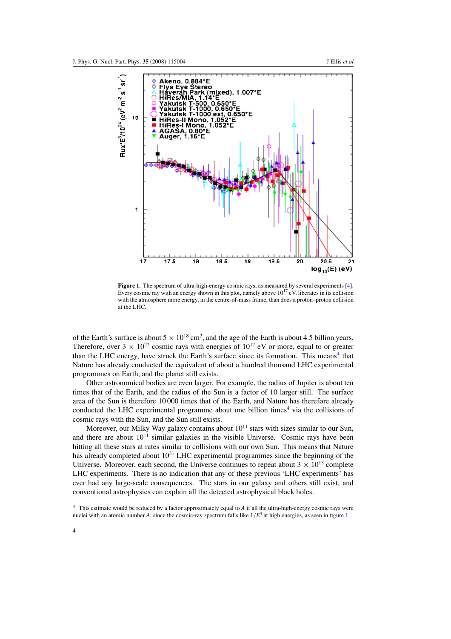<span id="page-3-0"></span>

Figure 1. The spectrum of ultra-high-energy cosmic rays, as measured by several experiments [\[4\]](#page-17-0). Every cosmic ray with an energy shown in this plot, namely above 10<sup>17</sup> eV, liberates in its collision with the atmosphere more energy, in the centre-of-mass frame, than does a proton–proton collision at the LHC.

of the Earth's surface is about  $5 \times 10^{18}$  cm<sup>2</sup>, and the age of the Earth is about 4.5 billion years. Therefore, over  $3 \times 10^{22}$  cosmic rays with energies of  $10^{17}$  eV or more, equal to or greater than the LHC energy, have struck the Earth's surface since its formation. This means4 that Nature has already conducted the equivalent of about a hundred thousand LHC experimental programmes on Earth, and the planet still exists.

Other astronomical bodies are even larger. For example, the radius of Jupiter is about ten times that of the Earth, and the radius of the Sun is a factor of 10 larger still. The surface area of the Sun is therefore 10 000 times that of the Earth, and Nature has therefore already conducted the LHC experimental programme about one billion times<sup>4</sup> via the collisions of cosmic rays with the Sun, and the Sun still exists.

Moreover, our Milky Way galaxy contains about  $10^{11}$  stars with sizes similar to our Sun, and there are about  $10^{11}$  similar galaxies in the visible Universe. Cosmic rays have been hitting all these stars at rates similar to collisions with our own Sun. This means that Nature has already completed about  $10^{31}$  LHC experimental programmes since the beginning of the Universe. Moreover, each second, the Universe continues to repeat about  $3 \times 10^{13}$  complete LHC experiments. There is no indication that any of these previous 'LHC experiments' has ever had any large-scale consequences. The stars in our galaxy and others still exist, and conventional astrophysics can explain all the detected astrophysical black holes.

<sup>4</sup> This estimate would be reduced by a factor approximately equal to *A* if all the ultra-high-energy cosmic rays were nuclei with an atomic number *A*, since the cosmic-ray spectrum falls like  $1/E<sup>3</sup>$  at high energies, as seen in figure 1.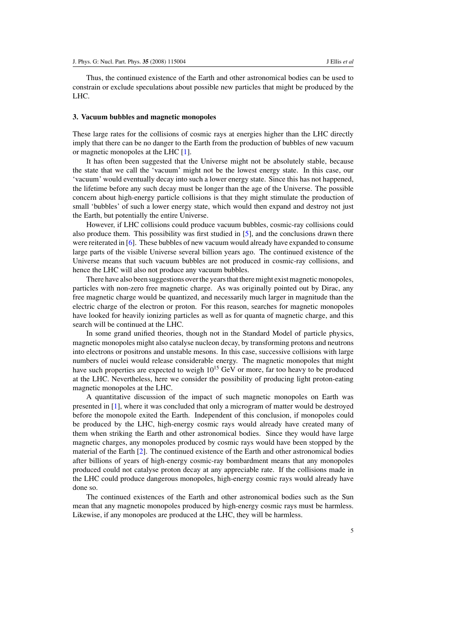<span id="page-4-0"></span>Thus, the continued existence of the Earth and other astronomical bodies can be used to constrain or exclude speculations about possible new particles that might be produced by the LHC.

#### **3. Vacuum bubbles and magnetic monopoles**

These large rates for the collisions of cosmic rays at energies higher than the LHC directly imply that there can be no danger to the Earth from the production of bubbles of new vacuum or magnetic monopoles at the LHC [\[1](#page-17-0)].

It has often been suggested that the Universe might not be absolutely stable, because the state that we call the 'vacuum' might not be the lowest energy state. In this case, our 'vacuum' would eventually decay into such a lower energy state. Since this has not happened, the lifetime before any such decay must be longer than the age of the Universe. The possible concern about high-energy particle collisions is that they might stimulate the production of small 'bubbles' of such a lower energy state, which would then expand and destroy not just the Earth, but potentially the entire Universe.

However, if LHC collisions could produce vacuum bubbles, cosmic-ray collisions could also produce them. This possibility was first studied in [\[5](#page-17-0)], and the conclusions drawn there were reiterated in [\[6\]](#page-17-0). These bubbles of new vacuum would already have expanded to consume large parts of the visible Universe several billion years ago. The continued existence of the Universe means that such vacuum bubbles are not produced in cosmic-ray collisions, and hence the LHC will also not produce any vacuum bubbles.

There have also been suggestions over the years that there might exist magnetic monopoles, particles with non-zero free magnetic charge. As was originally pointed out by Dirac, any free magnetic charge would be quantized, and necessarily much larger in magnitude than the electric charge of the electron or proton. For this reason, searches for magnetic monopoles have looked for heavily ionizing particles as well as for quanta of magnetic charge, and this search will be continued at the LHC.

In some grand unified theories, though not in the Standard Model of particle physics, magnetic monopoles might also catalyse nucleon decay, by transforming protons and neutrons into electrons or positrons and unstable mesons. In this case, successive collisions with large numbers of nuclei would release considerable energy. The magnetic monopoles that might have such properties are expected to weigh  $10^{15}$  GeV or more, far too heavy to be produced at the LHC. Nevertheless, here we consider the possibility of producing light proton-eating magnetic monopoles at the LHC.

A quantitative discussion of the impact of such magnetic monopoles on Earth was presented in [\[1](#page-17-0)], where it was concluded that only a microgram of matter would be destroyed before the monopole exited the Earth. Independent of this conclusion, if monopoles could be produced by the LHC, high-energy cosmic rays would already have created many of them when striking the Earth and other astronomical bodies. Since they would have large magnetic charges, any monopoles produced by cosmic rays would have been stopped by the material of the Earth [\[2\]](#page-17-0). The continued existence of the Earth and other astronomical bodies after billions of years of high-energy cosmic-ray bombardment means that any monopoles produced could not catalyse proton decay at any appreciable rate. If the collisions made in the LHC could produce dangerous monopoles, high-energy cosmic rays would already have done so.

The continued existences of the Earth and other astronomical bodies such as the Sun mean that any magnetic monopoles produced by high-energy cosmic rays must be harmless. Likewise, if any monopoles are produced at the LHC, they will be harmless.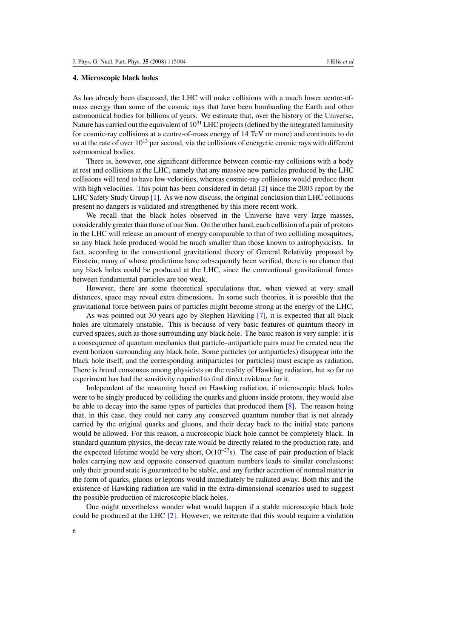# <span id="page-5-0"></span>**4. Microscopic black holes**

As has already been discussed, the LHC will make collisions with a much lower centre-ofmass energy than some of the cosmic rays that have been bombarding the Earth and other astronomical bodies for billions of years. We estimate that, over the history of the Universe, Nature has carried out the equivalent of  $10^{31}$  LHC projects (defined by the integrated luminosity for cosmic-ray collisions at a centre-of-mass energy of 14 TeV or more) and continues to do so at the rate of over  $10^{13}$  per second, via the collisions of energetic cosmic rays with different astronomical bodies.

There is, however, one significant difference between cosmic-ray collisions with a body at rest and collisions at the LHC, namely that any massive new particles produced by the LHC collisions will tend to have low velocities, whereas cosmic-ray collisions would produce them with high velocities. This point has been considered in detail [\[2\]](#page-17-0) since the 2003 report by the LHC Safety Study Group [\[1](#page-17-0)]. As we now discuss, the original conclusion that LHC collisions present no dangers is validated and strengthened by this more recent work.

We recall that the black holes observed in the Universe have very large masses, considerably greater than those of our Sun. On the other hand, each collision of a pair of protons in the LHC will release an amount of energy comparable to that of two colliding mosquitoes, so any black hole produced would be much smaller than those known to astrophysicists. In fact, according to the conventional gravitational theory of General Relativity proposed by Einstein, many of whose predictions have subsequently been verified, there is no chance that any black holes could be produced at the LHC, since the conventional gravitational forces between fundamental particles are too weak.

However, there are some theoretical speculations that, when viewed at very small distances, space may reveal extra dimensions. In some such theories, it is possible that the gravitational force between pairs of particles might become strong at the energy of the LHC.

As was pointed out 30 years ago by Stephen Hawking [\[7](#page-17-0)], it is expected that all black holes are ultimately unstable. This is because of very basic features of quantum theory in curved spaces, such as those surrounding any black hole. The basic reason is very simple: it is a consequence of quantum mechanics that particle–antiparticle pairs must be created near the event horizon surrounding any black hole. Some particles (or antiparticles) disappear into the black hole itself, and the corresponding antiparticles (or particles) must escape as radiation. There is broad consensus among physicists on the reality of Hawking radiation, but so far no experiment has had the sensitivity required to find direct evidence for it.

Independent of the reasoning based on Hawking radiation, if microscopic black holes were to be singly produced by colliding the quarks and gluons inside protons, they would also be able to decay into the same types of particles that produced them [\[8](#page-17-0)]. The reason being that, in this case, they could not carry any conserved quantum number that is not already carried by the original quarks and gluons, and their decay back to the initial state partons would be allowed. For this reason, a microscopic black hole cannot be completely black. In standard quantum physics, the decay rate would be directly related to the production rate, and the expected lifetime would be very short,  $O(10^{-27}s)$ . The case of pair production of black holes carrying new and opposite conserved quantum numbers leads to similar conclusions: only their ground state is guaranteed to be stable, and any further accretion of normal matter in the form of quarks, gluons or leptons would immediately be radiated away. Both this and the existence of Hawking radiation are valid in the extra-dimensional scenarios used to suggest the possible production of microscopic black holes.

One might nevertheless wonder what would happen if a stable microscopic black hole could be produced at the LHC [\[2](#page-17-0)]. However, we reiterate that this would require a violation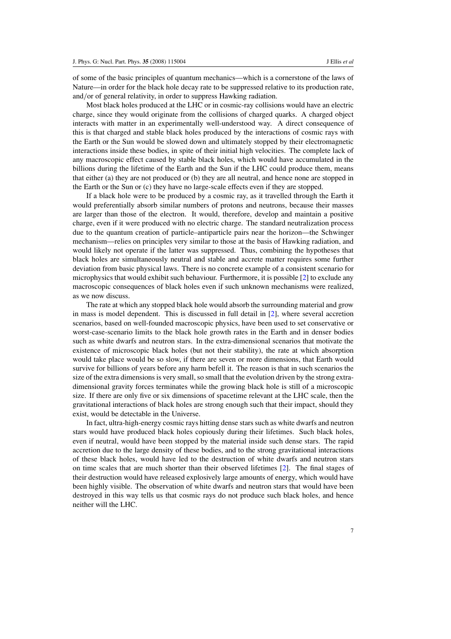of some of the basic principles of quantum mechanics—which is a cornerstone of the laws of Nature—in order for the black hole decay rate to be suppressed relative to its production rate, and*/*or of general relativity, in order to suppress Hawking radiation.

Most black holes produced at the LHC or in cosmic-ray collisions would have an electric charge, since they would originate from the collisions of charged quarks. A charged object interacts with matter in an experimentally well-understood way. A direct consequence of this is that charged and stable black holes produced by the interactions of cosmic rays with the Earth or the Sun would be slowed down and ultimately stopped by their electromagnetic interactions inside these bodies, in spite of their initial high velocities. The complete lack of any macroscopic effect caused by stable black holes, which would have accumulated in the billions during the lifetime of the Earth and the Sun if the LHC could produce them, means that either (a) they are not produced or (b) they are all neutral, and hence none are stopped in the Earth or the Sun or (c) they have no large-scale effects even if they are stopped.

If a black hole were to be produced by a cosmic ray, as it travelled through the Earth it would preferentially absorb similar numbers of protons and neutrons, because their masses are larger than those of the electron. It would, therefore, develop and maintain a positive charge, even if it were produced with no electric charge. The standard neutralization process due to the quantum creation of particle–antiparticle pairs near the horizon—the Schwinger mechanism—relies on principles very similar to those at the basis of Hawking radiation, and would likely not operate if the latter was suppressed. Thus, combining the hypotheses that black holes are simultaneously neutral and stable and accrete matter requires some further deviation from basic physical laws. There is no concrete example of a consistent scenario for microphysics that would exhibit such behaviour. Furthermore, it is possible [\[2](#page-17-0)] to exclude any macroscopic consequences of black holes even if such unknown mechanisms were realized, as we now discuss.

The rate at which any stopped black hole would absorb the surrounding material and grow in mass is model dependent. This is discussed in full detail in  $[2]$  $[2]$ , where several accretion scenarios, based on well-founded macroscopic physics, have been used to set conservative or worst-case-scenario limits to the black hole growth rates in the Earth and in denser bodies such as white dwarfs and neutron stars. In the extra-dimensional scenarios that motivate the existence of microscopic black holes (but not their stability), the rate at which absorption would take place would be so slow, if there are seven or more dimensions, that Earth would survive for billions of years before any harm befell it. The reason is that in such scenarios the size of the extra dimensions is very small, so small that the evolution driven by the strong extradimensional gravity forces terminates while the growing black hole is still of a microscopic size. If there are only five or six dimensions of spacetime relevant at the LHC scale, then the gravitational interactions of black holes are strong enough such that their impact, should they exist, would be detectable in the Universe.

In fact, ultra-high-energy cosmic rays hitting dense stars such as white dwarfs and neutron stars would have produced black holes copiously during their lifetimes. Such black holes, even if neutral, would have been stopped by the material inside such dense stars. The rapid accretion due to the large density of these bodies, and to the strong gravitational interactions of these black holes, would have led to the destruction of white dwarfs and neutron stars on time scales that are much shorter than their observed lifetimes [\[2\]](#page-17-0). The final stages of their destruction would have released explosively large amounts of energy, which would have been highly visible. The observation of white dwarfs and neutron stars that would have been destroyed in this way tells us that cosmic rays do not produce such black holes, and hence neither will the LHC.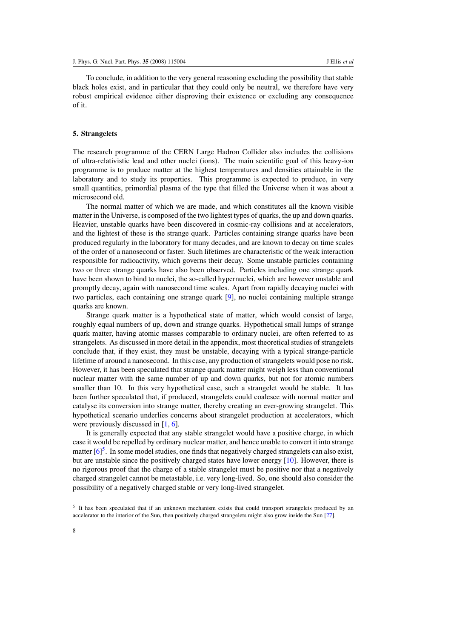<span id="page-7-0"></span>To conclude, in addition to the very general reasoning excluding the possibility that stable black holes exist, and in particular that they could only be neutral, we therefore have very robust empirical evidence either disproving their existence or excluding any consequence of it.

## **5. Strangelets**

The research programme of the CERN Large Hadron Collider also includes the collisions of ultra-relativistic lead and other nuclei (ions). The main scientific goal of this heavy-ion programme is to produce matter at the highest temperatures and densities attainable in the laboratory and to study its properties. This programme is expected to produce, in very small quantities, primordial plasma of the type that filled the Universe when it was about a microsecond old.

The normal matter of which we are made, and which constitutes all the known visible matter in the Universe, is composed of the two lightest types of quarks, the up and down quarks. Heavier, unstable quarks have been discovered in cosmic-ray collisions and at accelerators, and the lightest of these is the strange quark. Particles containing strange quarks have been produced regularly in the laboratory for many decades, and are known to decay on time scales of the order of a nanosecond or faster. Such lifetimes are characteristic of the weak interaction responsible for radioactivity, which governs their decay. Some unstable particles containing two or three strange quarks have also been observed. Particles including one strange quark have been shown to bind to nuclei, the so-called hypernuclei, which are however unstable and promptly decay, again with nanosecond time scales. Apart from rapidly decaying nuclei with two particles, each containing one strange quark [\[9](#page-17-0)], no nuclei containing multiple strange quarks are known.

Strange quark matter is a hypothetical state of matter, which would consist of large, roughly equal numbers of up, down and strange quarks. Hypothetical small lumps of strange quark matter, having atomic masses comparable to ordinary nuclei, are often referred to as strangelets. As discussed in more detail in the appendix, most theoretical studies of strangelets conclude that, if they exist, they must be unstable, decaying with a typical strange-particle lifetime of around a nanosecond. In this case, any production of strangelets would pose no risk. However, it has been speculated that strange quark matter might weigh less than conventional nuclear matter with the same number of up and down quarks, but not for atomic numbers smaller than 10. In this very hypothetical case, such a strangelet would be stable. It has been further speculated that, if produced, strangelets could coalesce with normal matter and catalyse its conversion into strange matter, thereby creating an ever-growing strangelet. This hypothetical scenario underlies concerns about strangelet production at accelerators, which were previously discussed in [\[1](#page-17-0), [6](#page-17-0)].

It is generally expected that any stable strangelet would have a positive charge, in which case it would be repelled by ordinary nuclear matter, and hence unable to convert it into strange matter  $[6]^5$  $[6]^5$ . In some model studies, one finds that negatively charged strangelets can also exist, but are unstable since the positively charged states have lower energy [\[10\]](#page-17-0). However, there is no rigorous proof that the charge of a stable strangelet must be positive nor that a negatively charged strangelet cannot be metastable, i.e. very long-lived. So, one should also consider the possibility of a negatively charged stable or very long-lived strangelet.

<sup>5</sup> It has been speculated that if an unknown mechanism exists that could transport strangelets produced by an accelerator to the interior of the Sun, then positively charged strangelets might also grow inside the Sun [\[27](#page-17-0)].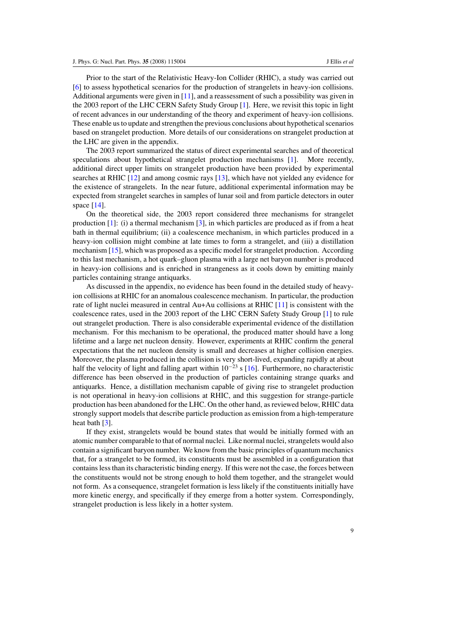Prior to the start of the Relativistic Heavy-Ion Collider (RHIC), a study was carried out [\[6](#page-17-0)] to assess hypothetical scenarios for the production of strangelets in heavy-ion collisions. Additional arguments were given in  $[11]$  $[11]$ , and a reassessment of such a possibility was given in the 2003 report of the LHC CERN Safety Study Group [\[1\]](#page-17-0). Here, we revisit this topic in light of recent advances in our understanding of the theory and experiment of heavy-ion collisions. These enable us to update and strengthen the previous conclusions about hypothetical scenarios based on strangelet production. More details of our considerations on strangelet production at the LHC are given in the appendix.

The 2003 report summarized the status of direct experimental searches and of theoretical speculations about hypothetical strangelet production mechanisms [\[1\]](#page-17-0). More recently, additional direct upper limits on strangelet production have been provided by experimental searches at RHIC [\[12\]](#page-17-0) and among cosmic rays [\[13](#page-17-0)], which have not yielded any evidence for the existence of strangelets. In the near future, additional experimental information may be expected from strangelet searches in samples of lunar soil and from particle detectors in outer space [\[14\]](#page-17-0).

On the theoretical side, the 2003 report considered three mechanisms for strangelet production  $[1]$ : (i) a thermal mechanism  $[3]$ , in which particles are produced as if from a heat bath in thermal equilibrium; (ii) a coalescence mechanism, in which particles produced in a heavy-ion collision might combine at late times to form a strangelet, and (iii) a distillation mechanism [\[15](#page-17-0)], which was proposed as a specific model for strangelet production. According to this last mechanism, a hot quark–gluon plasma with a large net baryon number is produced in heavy-ion collisions and is enriched in strangeness as it cools down by emitting mainly particles containing strange antiquarks.

As discussed in the appendix, no evidence has been found in the detailed study of heavyion collisions at RHIC for an anomalous coalescence mechanism. In particular, the production rate of light nuclei measured in central Au+Au collisions at RHIC [\[11](#page-17-0)] is consistent with the coalescence rates, used in the 2003 report of the LHC CERN Safety Study Group [\[1\]](#page-17-0) to rule out strangelet production. There is also considerable experimental evidence of the distillation mechanism. For this mechanism to be operational, the produced matter should have a long lifetime and a large net nucleon density. However, experiments at RHIC confirm the general expectations that the net nucleon density is small and decreases at higher collision energies. Moreover, the plasma produced in the collision is very short-lived, expanding rapidly at about half the velocity of light and falling apart within  $10^{-23}$  s [\[16](#page-17-0)]. Furthermore, no characteristic difference has been observed in the production of particles containing strange quarks and antiquarks. Hence, a distillation mechanism capable of giving rise to strangelet production is not operational in heavy-ion collisions at RHIC, and this suggestion for strange-particle production has been abandoned for the LHC. On the other hand, as reviewed below, RHIC data strongly support models that describe particle production as emission from a high-temperature heat bath [\[3\]](#page-17-0).

If they exist, strangelets would be bound states that would be initially formed with an atomic number comparable to that of normal nuclei. Like normal nuclei, strangelets would also contain a significant baryon number. We know from the basic principles of quantum mechanics that, for a strangelet to be formed, its constituents must be assembled in a configuration that contains less than its characteristic binding energy. If this were not the case, the forces between the constituents would not be strong enough to hold them together, and the strangelet would not form. As a consequence, strangelet formation is less likely if the constituents initially have more kinetic energy, and specifically if they emerge from a hotter system. Correspondingly, strangelet production is less likely in a hotter system.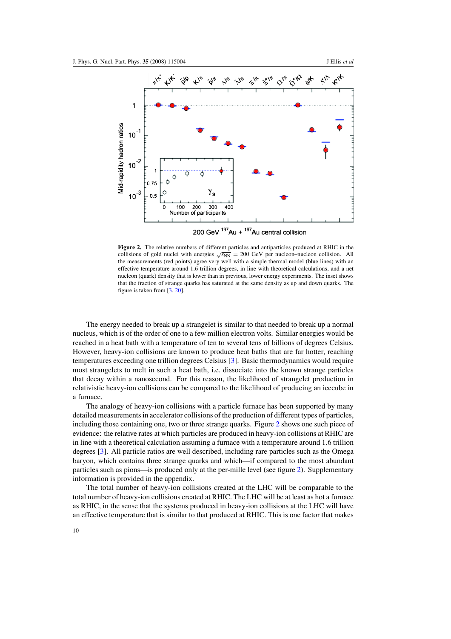<span id="page-9-0"></span>

**Figure 2.** The relative numbers of different particles and antiparticles produced at RHIC in the collisions of gold nuclei with energies  $\sqrt{s_{NN}} = 200$  GeV per nucleon–nucleon collision. All the measurements (red points) agree very well with a simple thermal model (blue lines) with an effective temperature around 1.6 trillion degrees, in line with theoretical calculations, and a net nucleon (quark) density that is lower than in previous, lower energy experiments. The inset shows that the fraction of strange quarks has saturated at the same density as up and down quarks. The figure is taken from [\[3,](#page-17-0) [20\]](#page-17-0).

The energy needed to break up a strangelet is similar to that needed to break up a normal nucleus, which is of the order of one to a few million electron volts. Similar energies would be reached in a heat bath with a temperature of ten to several tens of billions of degrees Celsius. However, heavy-ion collisions are known to produce heat baths that are far hotter, reaching temperatures exceeding one trillion degrees Celsius [\[3\]](#page-17-0). Basic thermodynamics would require most strangelets to melt in such a heat bath, i.e. dissociate into the known strange particles that decay within a nanosecond. For this reason, the likelihood of strangelet production in relativistic heavy-ion collisions can be compared to the likelihood of producing an icecube in a furnace.

The analogy of heavy-ion collisions with a particle furnace has been supported by many detailed measurements in accelerator collisions of the production of different types of particles, including those containing one, two or three strange quarks. Figure 2 shows one such piece of evidence: the relative rates at which particles are produced in heavy-ion collisions at RHIC are in line with a theoretical calculation assuming a furnace with a temperature around 1.6 trillion degrees [\[3](#page-17-0)]. All particle ratios are well described, including rare particles such as the Omega baryon, which contains three strange quarks and which—if compared to the most abundant particles such as pions—is produced only at the per-mille level (see figure 2). Supplementary information is provided in the appendix.

The total number of heavy-ion collisions created at the LHC will be comparable to the total number of heavy-ion collisions created at RHIC. The LHC will be at least as hot a furnace as RHIC, in the sense that the systems produced in heavy-ion collisions at the LHC will have an effective temperature that is similar to that produced at RHIC. This is one factor that makes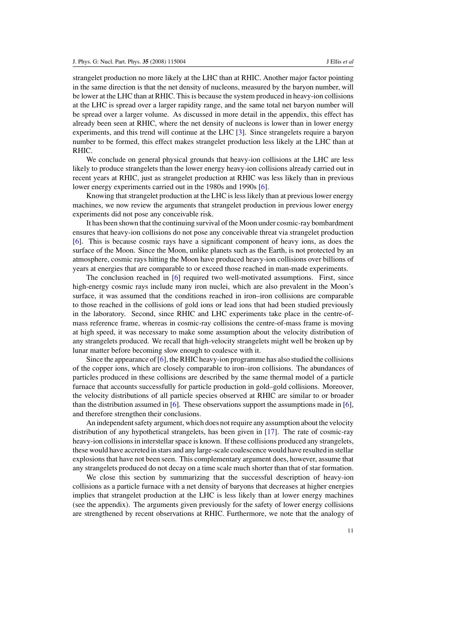strangelet production no more likely at the LHC than at RHIC. Another major factor pointing in the same direction is that the net density of nucleons, measured by the baryon number, will be lower at the LHC than at RHIC. This is because the system produced in heavy-ion collisions at the LHC is spread over a larger rapidity range, and the same total net baryon number will be spread over a larger volume. As discussed in more detail in the appendix, this effect has already been seen at RHIC, where the net density of nucleons is lower than in lower energy experiments, and this trend will continue at the LHC [\[3\]](#page-17-0). Since strangelets require a baryon number to be formed, this effect makes strangelet production less likely at the LHC than at RHIC.

We conclude on general physical grounds that heavy-ion collisions at the LHC are less likely to produce strangelets than the lower energy heavy-ion collisions already carried out in recent years at RHIC, just as strangelet production at RHIC was less likely than in previous lower energy experiments carried out in the 1980s and 1990s [\[6](#page-17-0)].

Knowing that strangelet production at the LHC is less likely than at previous lower energy machines, we now review the arguments that strangelet production in previous lower energy experiments did not pose any conceivable risk.

It has been shown that the continuing survival of the Moon under cosmic-ray bombardment ensures that heavy-ion collisions do not pose any conceivable threat via strangelet production [\[6](#page-17-0)]. This is because cosmic rays have a significant component of heavy ions, as does the surface of the Moon. Since the Moon, unlike planets such as the Earth, is not protected by an atmosphere, cosmic rays hitting the Moon have produced heavy-ion collisions over billions of years at energies that are comparable to or exceed those reached in man-made experiments.

The conclusion reached in [\[6](#page-17-0)] required two well-motivated assumptions. First, since high-energy cosmic rays include many iron nuclei, which are also prevalent in the Moon's surface, it was assumed that the conditions reached in iron–iron collisions are comparable to those reached in the collisions of gold ions or lead ions that had been studied previously in the laboratory. Second, since RHIC and LHC experiments take place in the centre-ofmass reference frame, whereas in cosmic-ray collisions the centre-of-mass frame is moving at high speed, it was necessary to make some assumption about the velocity distribution of any strangelets produced. We recall that high-velocity strangelets might well be broken up by lunar matter before becoming slow enough to coalesce with it.

Since the appearance of [\[6](#page-17-0)], the RHIC heavy-ion programme has also studied the collisions of the copper ions, which are closely comparable to iron–iron collisions. The abundances of particles produced in these collisions are described by the same thermal model of a particle furnace that accounts successfully for particle production in gold–gold collisions. Moreover, the velocity distributions of all particle species observed at RHIC are similar to or broader than the distribution assumed in [\[6\]](#page-17-0). These observations support the assumptions made in [6], and therefore strengthen their conclusions.

An independent safety argument, which does not require any assumption about the velocity distribution of any hypothetical strangelets, has been given in [\[17](#page-17-0)]. The rate of cosmic-ray heavy-ion collisions in interstellar space is known. If these collisions produced any strangelets, these would have accreted in stars and any large-scale coalescence would have resulted in stellar explosions that have not been seen. This complementary argument does, however, assume that any strangelets produced do not decay on a time scale much shorter than that of star formation.

We close this section by summarizing that the successful description of heavy-ion collisions as a particle furnace with a net density of baryons that decreases at higher energies implies that strangelet production at the LHC is less likely than at lower energy machines (see the appendix). The arguments given previously for the safety of lower energy collisions are strengthened by recent observations at RHIC. Furthermore, we note that the analogy of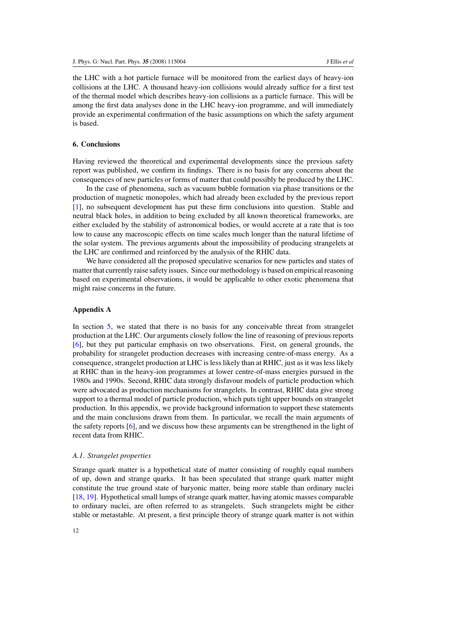the LHC with a hot particle furnace will be monitored from the earliest days of heavy-ion collisions at the LHC. A thousand heavy-ion collisions would already suffice for a first test of the thermal model which describes heavy-ion collisions as a particle furnace. This will be among the first data analyses done in the LHC heavy-ion programme, and will immediately provide an experimental confirmation of the basic assumptions on which the safety argument is based.

## **6. Conclusions**

Having reviewed the theoretical and experimental developments since the previous safety report was published, we confirm its findings. There is no basis for any concerns about the consequences of new particles or forms of matter that could possibly be produced by the LHC.

In the case of phenomena, such as vacuum bubble formation via phase transitions or the production of magnetic monopoles, which had already been excluded by the previous report [\[1](#page-17-0)], no subsequent development has put these firm conclusions into question. Stable and neutral black holes, in addition to being excluded by all known theoretical frameworks, are either excluded by the stability of astronomical bodies, or would accrete at a rate that is too low to cause any macroscopic effects on time scales much longer than the natural lifetime of the solar system. The previous arguments about the impossibility of producing strangelets at the LHC are confirmed and reinforced by the analysis of the RHIC data.

We have considered all the proposed speculative scenarios for new particles and states of matter that currently raise safety issues. Since our methodology is based on empirical reasoning based on experimental observations, it would be applicable to other exotic phenomena that might raise concerns in the future.

#### **Appendix A**

In section [5,](#page-7-0) we stated that there is no basis for any conceivable threat from strangelet production at the LHC. Our arguments closely follow the line of reasoning of previous reports [\[6](#page-17-0)], but they put particular emphasis on two observations. First, on general grounds, the probability for strangelet production decreases with increasing centre-of-mass energy. As a consequence, strangelet production at LHC is less likely than at RHIC, just as it was less likely at RHIC than in the heavy-ion programmes at lower centre-of-mass energies pursued in the 1980s and 1990s. Second, RHIC data strongly disfavour models of particle production which were advocated as production mechanisms for strangelets. In contrast, RHIC data give strong support to a thermal model of particle production, which puts tight upper bounds on strangelet production. In this appendix, we provide background information to support these statements and the main conclusions drawn from them. In particular, we recall the main arguments of the safety reports [\[6](#page-17-0)], and we discuss how these arguments can be strengthened in the light of recent data from RHIC.

# *A.1. Strangelet properties*

Strange quark matter is a hypothetical state of matter consisting of roughly equal numbers of up, down and strange quarks. It has been speculated that strange quark matter might constitute the true ground state of baryonic matter, being more stable than ordinary nuclei [\[18](#page-17-0), [19\]](#page-17-0). Hypothetical small lumps of strange quark matter, having atomic masses comparable to ordinary nuclei, are often referred to as strangelets. Such strangelets might be either stable or metastable. At present, a first principle theory of strange quark matter is not within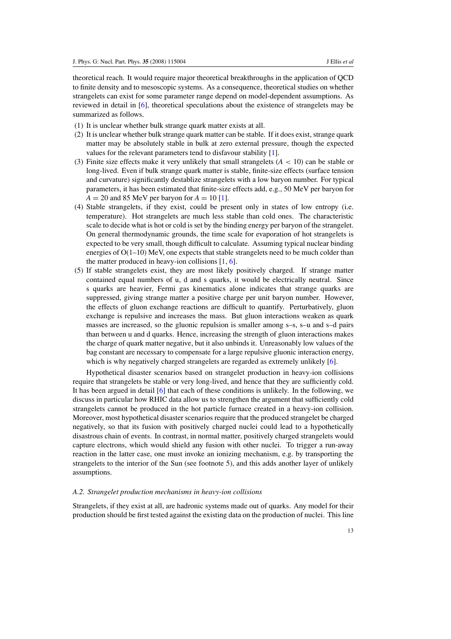theoretical reach. It would require major theoretical breakthroughs in the application of QCD to finite density and to mesoscopic systems. As a consequence, theoretical studies on whether strangelets can exist for some parameter range depend on model-dependent assumptions. As reviewed in detail in [\[6](#page-17-0)], theoretical speculations about the existence of strangelets may be summarized as follows.

- (1) It is unclear whether bulk strange quark matter exists at all.
- (2) It is unclear whether bulk strange quark matter can be stable. If it does exist, strange quark matter may be absolutely stable in bulk at zero external pressure, though the expected values for the relevant parameters tend to disfavour stability [\[1](#page-17-0)].
- (3) Finite size effects make it very unlikely that small strangelets  $(A < 10)$  can be stable or long-lived. Even if bulk strange quark matter is stable, finite-size effects (surface tension and curvature) significantly destablize strangelets with a low baryon number. For typical parameters, it has been estimated that finite-size effects add, e.g., 50 MeV per baryon for  $A = 20$  and 85 MeV per baryon for  $A = 10$  [\[1\]](#page-17-0).
- (4) Stable strangelets, if they exist, could be present only in states of low entropy (i.e. temperature). Hot strangelets are much less stable than cold ones. The characteristic scale to decide what is hot or cold is set by the binding energy per baryon of the strangelet. On general thermodynamic grounds, the time scale for evaporation of hot strangelets is expected to be very small, though difficult to calculate. Assuming typical nuclear binding energies of  $O(1-10)$  MeV, one expects that stable strangelets need to be much colder than the matter produced in heavy-ion collisions  $[1, 6]$  $[1, 6]$  $[1, 6]$  $[1, 6]$ .
- (5) If stable strangelets exist, they are most likely positively charged. If strange matter contained equal numbers of u, d and s quarks, it would be electrically neutral. Since s quarks are heavier, Fermi gas kinematics alone indicates that strange quarks are suppressed, giving strange matter a positive charge per unit baryon number. However, the effects of gluon exchange reactions are difficult to quantify. Perturbatively, gluon exchange is repulsive and increases the mass. But gluon interactions weaken as quark masses are increased, so the gluonic repulsion is smaller among s–s, s–u and s–d pairs than between u and d quarks. Hence, increasing the strength of gluon interactions makes the charge of quark matter negative, but it also unbinds it. Unreasonably low values of the bag constant are necessary to compensate for a large repulsive gluonic interaction energy, which is why negatively charged strangelets are regarded as extremely unlikely [\[6\]](#page-17-0).

Hypothetical disaster scenarios based on strangelet production in heavy-ion collisions require that strangelets be stable or very long-lived, and hence that they are sufficiently cold. It has been argued in detail [\[6](#page-17-0)] that each of these conditions is unlikely. In the following, we discuss in particular how RHIC data allow us to strengthen the argument that sufficiently cold strangelets cannot be produced in the hot particle furnace created in a heavy-ion collision. Moreover, most hypothetical disaster scenarios require that the produced strangelet be charged negatively, so that its fusion with positively charged nuclei could lead to a hypothetically disastrous chain of events. In contrast, in normal matter, positively charged strangelets would capture electrons, which would shield any fusion with other nuclei. To trigger a run-away reaction in the latter case, one must invoke an ionizing mechanism, e.g. by transporting the strangelets to the interior of the Sun (see footnote 5), and this adds another layer of unlikely assumptions.

#### *A.2. Strangelet production mechanisms in heavy-ion collisions*

Strangelets, if they exist at all, are hadronic systems made out of quarks. Any model for their production should be first tested against the existing data on the production of nuclei. This line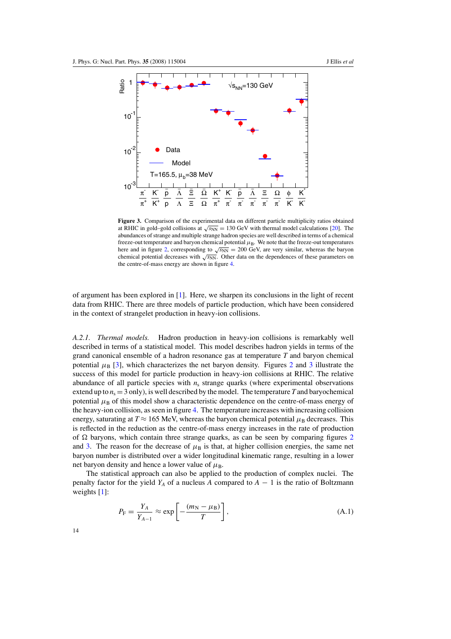<span id="page-13-0"></span>

**Figure 3.** Comparison of the experimental data on different particle multiplicity ratios obtained at RHIC in gold–gold collisions at  $\sqrt{s_{NN}} = 130$  GeV with thermal model calculations [\[20\]](#page-17-0). The abundances of strange and multiple strange hadron species are well described in terms of a chemical freeze-out temperature and baryon chemical potential  $\mu_B$ . We note that the freeze-out temperatures here and in figure [2,](#page-9-0) corresponding to  $\sqrt{s_{NN}} = 200 \text{ GeV}$ , are very similar, whereas the baryon chemical potential decreases with  $\sqrt{s_{NN}}$ . Other data on the dependences of these parameters on the centre-of-mass energy are shown in figure [4.](#page-14-0)

of argument has been explored in [\[1\]](#page-17-0). Here, we sharpen its conclusions in the light of recent data from RHIC. There are three models of particle production, which have been considered in the context of strangelet production in heavy-ion collisions.

*A.2.1. Thermal models.* Hadron production in heavy-ion collisions is remarkably well described in terms of a statistical model. This model describes hadron yields in terms of the grand canonical ensemble of a hadron resonance gas at temperature *T* and baryon chemical potential  $\mu_B$  [\[3](#page-17-0)], which characterizes the net baryon density. Figures [2](#page-9-0) and 3 illustrate the success of this model for particle production in heavy-ion collisions at RHIC. The relative abundance of all particle species with  $n<sub>s</sub>$  strange quarks (where experimental observations extend up to  $n_s = 3$  only), is well described by the model. The temperature *T* and baryochemical potential  $\mu_B$  of this model show a characteristic dependence on the centre-of-mass energy of the heavy-ion collision, as seen in figure [4.](#page-14-0) The temperature increases with increasing collision energy, saturating at  $T \approx 165$  MeV, whereas the baryon chemical potential  $\mu_B$  decreases. This is reflected in the reduction as the centre-of-mass energy increases in the rate of production of  $\Omega$  baryons, which contain three strange quarks, as can be seen by comparing figures [2](#page-9-0) and 3. The reason for the decrease of  $\mu_B$  is that, at higher collision energies, the same net baryon number is distributed over a wider longitudinal kinematic range, resulting in a lower net baryon density and hence a lower value of  $\mu_{\rm B}$ .

The statistical approach can also be applied to the production of complex nuclei. The penalty factor for the yield  $Y_A$  of a nucleus *A* compared to  $A - 1$  is the ratio of Boltzmann weights [\[1\]](#page-17-0):

$$
P_{\rm F} = \frac{Y_A}{Y_{A-1}} \approx \exp\left[-\frac{(m_{\rm N} - \mu_{\rm B})}{T}\right],\tag{A.1}
$$

14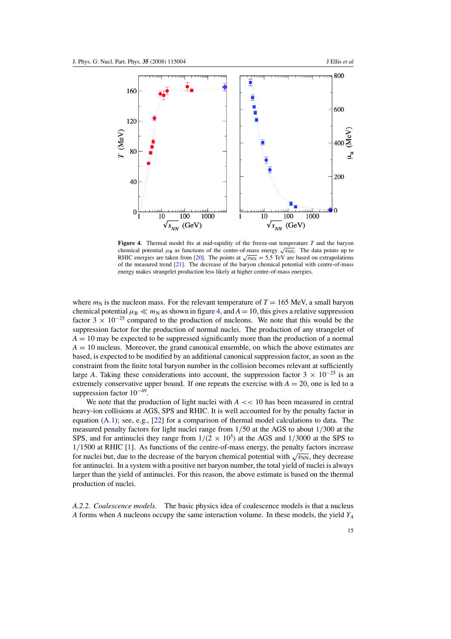<span id="page-14-0"></span>

**Figure 4.** Thermal model fits at mid-rapidity of the freeze-out temperature *T* and the baryon chemical potential  $\mu_B$  as functions of the centre-of-mass energy  $\sqrt{s_{NN}}$ . The data points up to RHIC energies are taken from [\[20](#page-17-0)]. The points at  $\sqrt{s_{NN}} = 5.5$  TeV are based on extrapolations of the measured trend [\[21\]](#page-17-0). The decrease of the baryon chemical potential with centre-of-mass energy makes strangelet production less likely at higher centre-of-mass energies.

where  $m_N$  is the nucleon mass. For the relevant temperature of  $T = 165$  MeV, a small baryon chemical potential  $\mu_B \ll m_N$  as shown in figure 4, and  $A = 10$ , this gives a relative suppression factor  $3 \times 10^{-25}$  compared to the production of nucleons. We note that this would be the suppression factor for the production of normal nuclei. The production of any strangelet of  $A = 10$  may be expected to be suppressed significantly more than the production of a normal  $A = 10$  nucleus. Moreover, the grand canonical ensemble, on which the above estimates are based, is expected to be modified by an additional canonical suppression factor, as soon as the constraint from the finite total baryon number in the collision becomes relevant at sufficiently large *A*. Taking these considerations into account, the suppression factor  $3 \times 10^{-25}$  is an extremely conservative upper bound. If one repeats the exercise with  $A = 20$ , one is led to a suppression factor 10−49.

We note that the production of light nuclei with  $A \ll 10$  has been measured in central heavy-ion collisions at AGS, SPS and RHIC. It is well accounted for by the penalty factor in equation [\(A](#page-13-0)*.*1); see, e.g., [\[22](#page-17-0)] for a comparison of thermal model calculations to data. The measured penalty factors for light nuclei range from 1*/*50 at the AGS to about 1*/*300 at the SPS, and for antinuclei they range from  $1/(2 \times 10^5)$  at the AGS and  $1/3000$  at the SPS to 1*/*1500 at RHIC [\[1](#page-17-0)]. As functions of the centre-of-mass energy, the penalty factors increase for nuclei but, due to the decrease of the baryon chemical potential with  $\sqrt{s_{NN}}$ , they decrease for antinuclei. In a system with a positive net baryon number, the total yield of nuclei is always larger than the yield of antinuclei. For this reason, the above estimate is based on the thermal production of nuclei.

*A.2.2. Coalescence models.* The basic physics idea of coalescence models is that a nucleus *A* forms when *A* nucleons occupy the same interaction volume. In these models, the yield *YA*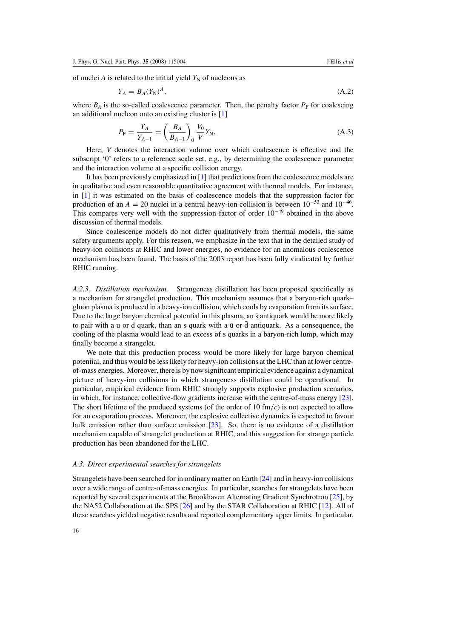of nuclei *A* is related to the initial yield  $Y_N$  of nucleons as

$$
Y_A = B_A(Y_N)^A, \tag{A.2}
$$

where  $B_A$  is the so-called coalescence parameter. Then, the penalty factor  $P_F$  for coalescing an additional nucleon onto an existing cluster is [\[1\]](#page-17-0)

$$
P_{\rm F} = \frac{Y_A}{Y_{A-1}} = \left(\frac{B_A}{B_{A-1}}\right)_0 \frac{V_0}{V} Y_{\rm N}.
$$
\n(A.3)

Here, *V* denotes the interaction volume over which coalescence is effective and the subscript '0' refers to a reference scale set, e.g., by determining the coalescence parameter and the interaction volume at a specific collision energy.

It has been previously emphasized in [\[1](#page-17-0)] that predictions from the coalescence models are in qualitative and even reasonable quantitative agreement with thermal models. For instance, in [\[1\]](#page-17-0) it was estimated on the basis of coalescence models that the suppression factor for production of an  $A = 20$  nuclei in a central heavy-ion collision is between  $10^{-53}$  and  $10^{-46}$ . This compares very well with the suppression factor of order  $10^{-49}$  obtained in the above discussion of thermal models.

Since coalescence models do not differ qualitatively from thermal models, the same safety arguments apply. For this reason, we emphasize in the text that in the detailed study of heavy-ion collisions at RHIC and lower energies, no evidence for an anomalous coalescence mechanism has been found. The basis of the 2003 report has been fully vindicated by further RHIC running.

*A.2.3. Distillation mechanism.* Strangeness distillation has been proposed specifically as a mechanism for strangelet production. This mechanism assumes that a baryon-rich quark– gluon plasma is produced in a heavy-ion collision, which cools by evaporation from its surface. Due to the large baryon chemical potential in this plasma, an  $\bar{s}$  antiquark would be more likely to pair with a u or d quark, than an s quark with a  $\bar{u}$  or  $\bar{d}$  antiquark. As a consequence, the cooling of the plasma would lead to an excess of s quarks in a baryon-rich lump, which may finally become a strangelet.

We note that this production process would be more likely for large baryon chemical potential, and thus would be less likely for heavy-ion collisions at the LHC than at lower centreof-mass energies. Moreover, there is by now significant empirical evidence against a dynamical picture of heavy-ion collisions in which strangeness distillation could be operational. In particular, empirical evidence from RHIC strongly supports explosive production scenarios, in which, for instance, collective-flow gradients increase with the centre-of-mass energy [\[23\]](#page-17-0). The short lifetime of the produced systems (of the order of 10 fm*/c*) is not expected to allow for an evaporation process. Moreover, the explosive collective dynamics is expected to favour bulk emission rather than surface emission [\[23](#page-17-0)]. So, there is no evidence of a distillation mechanism capable of strangelet production at RHIC, and this suggestion for strange particle production has been abandoned for the LHC.

## *A.3. Direct experimental searches for strangelets*

Strangelets have been searched for in ordinary matter on Earth [\[24](#page-17-0)] and in heavy-ion collisions over a wide range of centre-of-mass energies. In particular, searches for strangelets have been reported by several experiments at the Brookhaven Alternating Gradient Synchrotron [\[25](#page-17-0)], by the NA52 Collaboration at the SPS [\[26\]](#page-17-0) and by the STAR Collaboration at RHIC [\[12\]](#page-17-0). All of these searches yielded negative results and reported complementary upper limits. In particular,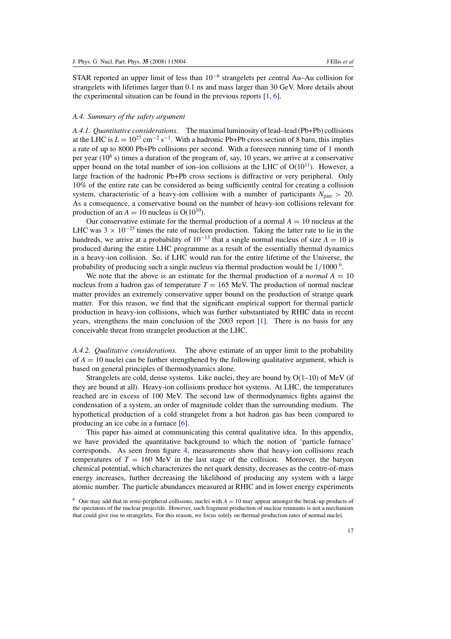STAR reported an upper limit of less than 10−<sup>6</sup> strangelets per central Au–Au collision for strangelets with lifetimes larger than 0.1 ns and mass larger than 30 GeV. More details about the experimental situation can be found in the previous reports  $[1, 6]$  $[1, 6]$  $[1, 6]$ .

## *A.4. Summary of the safety argument*

*A.4.1. Quantitative considerations.* The maximal luminosity of lead–lead (Pb+Pb) collisions at the LHC is  $L = 10^{27}$  cm<sup>-2</sup> s<sup>-1</sup>. With a hadronic Pb+Pb cross section of 8 barn, this implies a rate of up to 8000 Pb+Pb collisions per second. With a foreseen running time of 1 month per year  $(10^6 s)$  times a duration of the program of, say, 10 years, we arrive at a conservative upper bound on the total number of ion–ion collisions at the LHC of  $O(10^{11})$ . However, a large fraction of the hadronic Pb+Pb cross sections is diffractive or very peripheral. Only 10% of the entire rate can be considered as being sufficiently central for creating a collision system, characteristic of a heavy-ion collision with a number of participants  $N_{part} > 20$ . As a consequence, a conservative bound on the number of heavy-ion collisions relevant for production of an  $A = 10$  nucleus is  $O(10^{10})$ .

Our conservative estimate for the thermal production of a normal  $A = 10$  nucleus at the LHC was  $3 \times 10^{-25}$  times the rate of nucleon production. Taking the latter rate to lie in the hundreds, we arrive at a probability of  $10^{-13}$  that a single normal nucleus of size  $A = 10$  is produced during the entire LHC programme as a result of the essentially thermal dynamics in a heavy-ion collision. So, if LHC would run for the entire lifetime of the Universe, the probability of producing such a single nucleus via thermal production would be 1*/*1000 6.

We note that the above is an estimate for the thermal production of a *normal*  $A = 10$ nucleus from a hadron gas of temperature  $T = 165$  MeV. The production of normal nuclear matter provides an extremely conservative upper bound on the production of strange quark matter. For this reason, we find that the significant empirical support for thermal particle production in heavy-ion collisions, which was further substantiated by RHIC data in recent years, strengthens the main conclusion of the  $2003$  report  $[1]$ . There is no basis for any conceivable threat from strangelet production at the LHC.

*A.4.2. Qualitative considerations.* The above estimate of an upper limit to the probability of  $A = 10$  nuclei can be further strengthened by the following qualitative argument, which is based on general principles of thermodynamics alone.

Strangelets are cold, dense systems. Like nuclei, they are bound by O(1–10) of MeV (if they are bound at all). Heavy-ion collisions produce hot systems. At LHC, the temperatures reached are in excess of 100 MeV. The second law of thermodynamics fights against the condensation of a system, an order of magnitude colder than the surrounding medium. The hypothetical production of a cold strangelet from a hot hadron gas has been compared to producing an ice cube in a furnace [\[6\]](#page-17-0).

This paper has aimed at communicating this central qualitative idea. In this appendix, we have provided the quantitative background to which the notion of 'particle furnace' corresponds. As seen from figure [4,](#page-14-0) measurements show that heavy-ion collisions reach temperatures of  $T = 160$  MeV in the last stage of the collision. Moreover, the baryon chemical potential, which characterizes the net quark density, decreases as the centre-of-mass energy increases, further decreasing the likelihood of producing any system with a large atomic number. The particle abundances measured at RHIC and in lower energy experiments

<sup>&</sup>lt;sup>6</sup> One may add that in semi-peripheral collisions, nuclei with  $A = 10$  may appear amongst the break-up products of the spectators of the nuclear projectile. However, such fragment production of nuclear remnants is not a mechanism that could give rise to strangelets. For this reason, we focus solely on thermal production rates of normal nuclei.